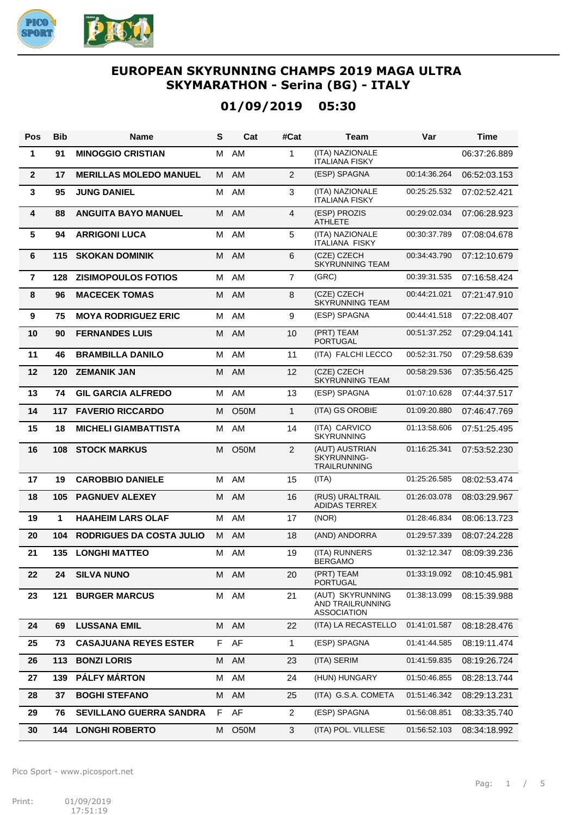

# **01/09/2019 05:30**

| Pos             | <b>Bib</b> | Name                            | S | Cat         | #Cat           | Team                                                       | Var          | <b>Time</b>  |
|-----------------|------------|---------------------------------|---|-------------|----------------|------------------------------------------------------------|--------------|--------------|
| 1               | 91         | <b>MINOGGIO CRISTIAN</b>        | м | AM          | 1              | (ITA) NAZIONALE<br><b>ITALIANA FISKY</b>                   |              | 06:37:26.889 |
| $\overline{2}$  | 17         | <b>MERILLAS MOLEDO MANUEL</b>   | М | AM          | $\overline{2}$ | (ESP) SPAGNA                                               | 00:14:36.264 | 06:52:03.153 |
| $\mathbf{3}$    | 95         | <b>JUNG DANIEL</b>              | м | AM          | 3              | (ITA) NAZIONALE<br><b>ITALIANA FISKY</b>                   | 00:25:25.532 | 07:02:52.421 |
| 4               | 88         | <b>ANGUITA BAYO MANUEL</b>      | М | AM          | 4              | (ESP) PROZIS<br><b>ATHLETE</b>                             | 00:29:02.034 | 07:06:28.923 |
| $5\phantom{.0}$ | 94         | <b>ARRIGONI LUCA</b>            | м | AM          | 5              | (ITA) NAZIONALE<br><b>ITALIANA FISKY</b>                   | 00:30:37.789 | 07:08:04.678 |
| 6               | 115        | <b>SKOKAN DOMINIK</b>           | M | AM          | 6              | (CZE) CZECH<br><b>SKYRUNNING TEAM</b>                      | 00:34:43.790 | 07:12:10.679 |
| $\overline{7}$  | 128        | <b>ZISIMOPOULOS FOTIOS</b>      | М | AM          | $\overline{7}$ | (GRC)                                                      | 00:39:31.535 | 07:16:58.424 |
| 8               | 96         | <b>MACECEK TOMAS</b>            | М | AM          | 8              | (CZE) CZECH<br><b>SKYRUNNING TEAM</b>                      | 00:44:21.021 | 07:21:47.910 |
| 9               | 75         | <b>MOYA RODRIGUEZ ERIC</b>      | м | AM          | 9              | (ESP) SPAGNA                                               | 00:44:41.518 | 07:22:08.407 |
| 10              | 90         | <b>FERNANDES LUIS</b>           | М | AM          | 10             | (PRT) TEAM<br>PORTUGAL                                     | 00:51:37.252 | 07:29:04.141 |
| 11              | 46         | <b>BRAMBILLA DANILO</b>         | м | AM          | 11             | (ITA) FALCHI LECCO                                         | 00:52:31.750 | 07:29:58.639 |
| 12              | 120        | <b>ZEMANIK JAN</b>              | M | AM          | 12             | (CZE) CZECH<br><b>SKYRUNNING TEAM</b>                      | 00:58:29.536 | 07:35:56.425 |
| 13              | 74         | <b>GIL GARCIA ALFREDO</b>       | м | AM          | 13             | (ESP) SPAGNA                                               | 01:07:10.628 | 07:44:37.517 |
| 14              | 117        | <b>FAVERIO RICCARDO</b>         | м | <b>O50M</b> | $\mathbf{1}$   | (ITA) GS OROBIE                                            | 01:09:20.880 | 07:46:47.769 |
| 15              | 18         | <b>MICHELI GIAMBATTISTA</b>     | м | AM          | 14             | (ITA) CARVICO<br><b>SKYRUNNING</b>                         | 01:13:58.606 | 07:51:25.495 |
| 16              | 108        | <b>STOCK MARKUS</b>             | M | O50M        | $\overline{2}$ | (AUT) AUSTRIAN<br>SKYRUNNING-<br><b>TRAILRUNNING</b>       | 01:16:25.341 | 07:53:52.230 |
| 17              | 19         | <b>CAROBBIO DANIELE</b>         | М | AM          | 15             | (ITA)                                                      | 01:25:26.585 | 08:02:53.474 |
| 18              | 105        | <b>PAGNUEV ALEXEY</b>           | М | AM          | 16             | (RUS) URALTRAIL<br><b>ADIDAS TERREX</b>                    | 01:26:03.078 | 08:03:29.967 |
| 19              | 1          | <b>HAAHEIM LARS OLAF</b>        | М | AM          | 17             | (NOR)                                                      | 01:28:46.834 | 08:06:13.723 |
| 20              | 104        | <b>RODRIGUES DA COSTA JULIO</b> | М | AM          | 18             | (AND) ANDORRA                                              | 01:29:57.339 | 08:07:24.228 |
| 21              |            | <b>135 LONGHI MATTEO</b>        |   | M AM        | 19             | (ITA) RUNNERS<br><b>BERGAMO</b>                            | 01:32:12.347 | 08:09:39.236 |
| 22              | 24         | <b>SILVA NUNO</b>               |   | M AM        | 20             | (PRT) TEAM<br>PORTUGAL                                     | 01:33:19.092 | 08:10:45.981 |
| 23              | 121        | <b>BURGER MARCUS</b>            |   | M AM        | 21             | (AUT) SKYRUNNING<br>AND TRAILRUNNING<br><b>ASSOCIATION</b> | 01:38:13.099 | 08:15:39.988 |
| 24              | 69         | <b>LUSSANA EMIL</b>             |   | M AM        | 22             | (ITA) LA RECASTELLO                                        | 01:41:01.587 | 08:18:28.476 |
| 25              | 73         | <b>CASAJUANA REYES ESTER</b>    |   | F AF        | 1              | (ESP) SPAGNA                                               | 01:41:44.585 | 08:19:11.474 |
| 26              | 113        | <b>BONZI LORIS</b>              |   | M AM        | 23             | (ITA) SERIM                                                | 01:41:59.835 | 08:19:26.724 |
| 27              | 139        | PÁLFY MÁRTON                    | М | AM          | 24             | (HUN) HUNGARY                                              | 01:50:46.855 | 08:28:13.744 |
| 28              | 37         | <b>BOGHI STEFANO</b>            | М | AM          | 25             | (ITA) G.S.A. COMETA                                        | 01:51:46.342 | 08:29:13.231 |
| 29              | 76         | <b>SEVILLANO GUERRA SANDRA</b>  |   | F AF        | $\overline{2}$ | (ESP) SPAGNA                                               | 01:56:08.851 | 08:33:35.740 |
| 30              | 144        | <b>LONGHI ROBERTO</b>           | M | O50M        | 3              | (ITA) POL. VILLESE                                         | 01:56:52.103 | 08:34:18.992 |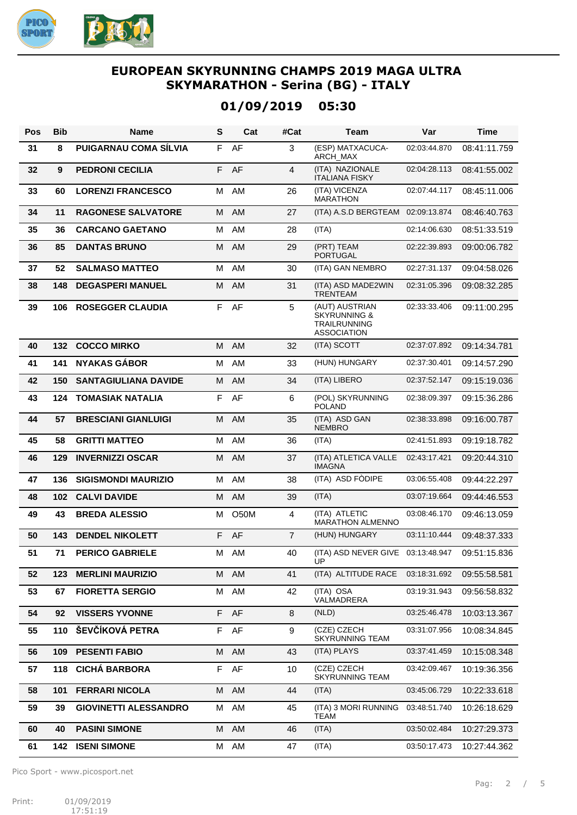

## **01/09/2019 05:30**

| Pos | <b>Bib</b> | <b>Name</b>                  | S  | Cat         | #Cat           | Team                                                                                   | Var          | <b>Time</b>  |
|-----|------------|------------------------------|----|-------------|----------------|----------------------------------------------------------------------------------------|--------------|--------------|
| 31  | 8          | PUIGARNAU COMA SÍLVIA        | F. | AF          | 3              | (ESP) MATXACUCA-<br>ARCH_MAX                                                           | 02:03:44.870 | 08:41:11.759 |
| 32  | 9          | <b>PEDRONI CECILIA</b>       | F  | AF          | $\overline{4}$ | (ITA) NAZIONALE<br><b>ITALIANA FISKY</b>                                               | 02:04:28.113 | 08:41:55.002 |
| 33  | 60         | <b>LORENZI FRANCESCO</b>     | м  | AM          | 26             | (ITA) VICENZA<br><b>MARATHON</b>                                                       | 02:07:44.117 | 08:45:11.006 |
| 34  | 11         | <b>RAGONESE SALVATORE</b>    | M  | AM          | 27             | (ITA) A.S.D BERGTEAM 02:09:13.874                                                      |              | 08:46:40.763 |
| 35  | 36         | <b>CARCANO GAETANO</b>       | м  | AM          | 28             | (ITA)                                                                                  | 02:14:06.630 | 08:51:33.519 |
| 36  | 85         | <b>DANTAS BRUNO</b>          | M  | AM          | 29             | (PRT) TEAM<br><b>PORTUGAL</b>                                                          | 02:22:39.893 | 09:00:06.782 |
| 37  | 52         | <b>SALMASO MATTEO</b>        | м  | AM          | 30             | (ITA) GAN NEMBRO                                                                       | 02:27:31.137 | 09:04:58.026 |
| 38  | 148        | <b>DEGASPERI MANUEL</b>      | M  | AM          | 31             | (ITA) ASD MADE2WIN<br><b>TRENTEAM</b>                                                  | 02:31:05.396 | 09:08:32.285 |
| 39  | 106        | <b>ROSEGGER CLAUDIA</b>      | F. | AF          | 5              | (AUT) AUSTRIAN<br><b>SKYRUNNING &amp;</b><br><b>TRAILRUNNING</b><br><b>ASSOCIATION</b> | 02:33:33.406 | 09:11:00.295 |
| 40  | 132        | <b>COCCO MIRKO</b>           | M  | AM          | 32             | (ITA) SCOTT                                                                            | 02:37:07.892 | 09:14:34.781 |
| 41  | 141        | <b>NYAKAS GÁBOR</b>          | М  | AM          | 33             | (HUN) HUNGARY                                                                          | 02:37:30.401 | 09:14:57.290 |
| 42  | 150        | <b>SANTAGIULIANA DAVIDE</b>  | M  | AM          | 34             | (ITA) LIBERO                                                                           | 02:37:52.147 | 09:15:19.036 |
| 43  | 124        | <b>TOMASIAK NATALIA</b>      | F. | AF          | 6              | (POL) SKYRUNNING<br><b>POLAND</b>                                                      | 02:38:09.397 | 09:15:36.286 |
| 44  | 57         | <b>BRESCIANI GIANLUIGI</b>   | M  | AM          | 35             | (ITA) ASD GAN<br><b>NEMBRO</b>                                                         | 02:38:33.898 | 09:16:00.787 |
| 45  | 58         | <b>GRITTI MATTEO</b>         | м  | AM          | 36             | (ITA)                                                                                  | 02:41:51.893 | 09:19:18.782 |
| 46  | 129        | <b>INVERNIZZI OSCAR</b>      | M  | AM          | 37             | (ITA) ATLETICA VALLE<br><b>IMAGNA</b>                                                  | 02:43:17.421 | 09:20:44.310 |
| 47  | 136        | <b>SIGISMONDI MAURIZIO</b>   | М  | AM          | 38             | (ITA) ASD FODIPE                                                                       | 03:06:55.408 | 09:44:22.297 |
| 48  | 102        | <b>CALVI DAVIDE</b>          | м  | AM          | 39             | (ITA)                                                                                  | 03:07:19.664 | 09:44:46.553 |
| 49  | 43         | <b>BREDA ALESSIO</b>         | М  | <b>O50M</b> | $\overline{4}$ | (ITA) ATLETIC<br><b>MARATHON ALMENNO</b>                                               | 03:08:46.170 | 09:46:13.059 |
| 50  | 143        | <b>DENDEL NIKOLETT</b>       |    | F AF        | $\overline{7}$ | (HUN) HUNGARY                                                                          | 03:11:10.444 | 09:48:37.333 |
| 51  | 71         | <b>PERICO GABRIELE</b>       | м  | AM          | 40             | (ITA) ASD NEVER GIVE 03:13:48.947<br>ÙP                                                |              | 09:51:15.836 |
| 52  | 123        | <b>MERLINI MAURIZIO</b>      | М  | AM          | 41             | (ITA) ALTITUDE RACE                                                                    | 03:18:31.692 | 09:55:58.581 |
| 53  | 67         | <b>FIORETTA SERGIO</b>       | М  | AM          | 42             | (ITA) OSA<br>VALMADRERA                                                                | 03:19:31.943 | 09:56:58.832 |
| 54  | 92         | <b>VISSERS YVONNE</b>        |    | F AF        | 8              | (NLD)                                                                                  | 03:25:46.478 | 10:03:13.367 |
| 55  | 110        | ŠEVČÍKOVÁ PETRA              | F. | AF          | 9              | (CZE) CZECH<br><b>SKYRUNNING TEAM</b>                                                  | 03:31:07.956 | 10:08:34.845 |
| 56  | 109        | <b>PESENTI FABIO</b>         | M  | AM          | 43             | (ITA) PLAYS                                                                            | 03:37:41.459 | 10:15:08.348 |
| 57  | 118        | <b>CICHÁ BARBORA</b>         | F  | AF          | 10             | (CZE) CZECH<br><b>SKYRUNNING TEAM</b>                                                  | 03:42:09.467 | 10:19:36.356 |
| 58  | 101        | <b>FERRARI NICOLA</b>        | м  | AM          | 44             | (ITA)                                                                                  | 03:45:06.729 | 10:22:33.618 |
| 59  | 39         | <b>GIOVINETTI ALESSANDRO</b> | М  | AM          | 45             | (ITA) 3 MORI RUNNING<br>TEAM                                                           | 03:48:51.740 | 10:26:18.629 |
| 60  | 40         | <b>PASINI SIMONE</b>         | М  | AM          | 46             | (ITA)                                                                                  | 03:50:02.484 | 10:27:29.373 |
| 61  | 142        | <b>ISENI SIMONE</b>          | м  | AM          | 47             | (ITA)                                                                                  | 03:50:17.473 | 10:27:44.362 |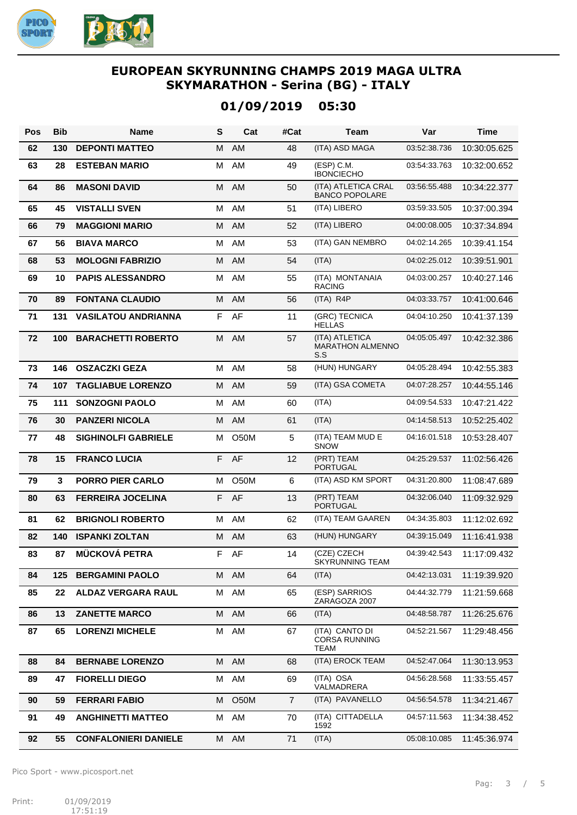

# **01/09/2019 05:30**

| <b>Pos</b> | <b>Bib</b> | Name                        | S  | Cat               | #Cat           | Team                                                  | Var          | <b>Time</b>  |
|------------|------------|-----------------------------|----|-------------------|----------------|-------------------------------------------------------|--------------|--------------|
| 62         | 130        | <b>DEPONTI MATTEO</b>       | м  | <b>AM</b>         | 48             | (ITA) ASD MAGA                                        | 03:52:38.736 | 10:30:05.625 |
| 63         | 28         | <b>ESTEBAN MARIO</b>        | м  | AM                | 49             | (ESP) C.M.<br><b>IBONCIECHO</b>                       | 03:54:33.763 | 10:32:00.652 |
| 64         | 86         | <b>MASONI DAVID</b>         | M  | AM                | 50             | (ITA) ATLETICA CRAL<br><b>BANCO POPOLARE</b>          | 03:56:55.488 | 10:34:22.377 |
| 65         | 45         | <b>VISTALLI SVEN</b>        | М  | AM                | 51             | (ITA) LIBERO                                          | 03:59:33.505 | 10:37:00.394 |
| 66         | 79         | <b>MAGGIONI MARIO</b>       | M  | AM                | 52             | (ITA) LIBERO                                          | 04:00:08.005 | 10:37:34.894 |
| 67         | 56         | <b>BIAVA MARCO</b>          | М  | AM                | 53             | (ITA) GAN NEMBRO                                      | 04:02:14.265 | 10:39:41.154 |
| 68         | 53         | <b>MOLOGNI FABRIZIO</b>     | M  | AM                | 54             | (ITA)                                                 | 04:02:25.012 | 10:39:51.901 |
| 69         | 10         | <b>PAPIS ALESSANDRO</b>     | М  | AM                | 55             | (ITA) MONTANAIA<br><b>RACING</b>                      | 04:03:00.257 | 10:40:27.146 |
| 70         | 89         | <b>FONTANA CLAUDIO</b>      | м  | AM                | 56             | (ITA) R4P                                             | 04:03:33.757 | 10:41:00.646 |
| 71         | 131        | <b>VASILATOU ANDRIANNA</b>  |    | F AF              | 11             | (GRC) TECNICA<br><b>HELLAS</b>                        | 04:04:10.250 | 10:41:37.139 |
| 72         | 100        | <b>BARACHETTI ROBERTO</b>   | M  | AM                | 57             | (ITA) ATLETICA<br><b>MARATHON ALMENNO</b><br>S.S      | 04:05:05.497 | 10:42:32.386 |
| 73         | 146        | <b>OSZACZKI GEZA</b>        | М  | AM                | 58             | (HUN) HUNGARY                                         | 04:05:28.494 | 10:42:55.383 |
| 74         | 107        | <b>TAGLIABUE LORENZO</b>    | M  | AM                | 59             | (ITA) GSA COMETA                                      | 04:07:28.257 | 10:44:55.146 |
| 75         | 111        | <b>SONZOGNI PAOLO</b>       | М  | AM                | 60             | (ITA)                                                 | 04:09:54.533 | 10:47:21.422 |
| 76         | 30         | <b>PANZERI NICOLA</b>       | м  | AM                | 61             | (ITA)                                                 | 04:14:58.513 | 10:52:25.402 |
| 77         | 48         | <b>SIGHINOLFI GABRIELE</b>  | М  | O50M              | 5              | (ITA) TEAM MUD E<br><b>SNOW</b>                       | 04:16:01.518 | 10:53:28.407 |
| 78         | 15         | <b>FRANCO LUCIA</b>         | F  | AF                | 12             | (PRT) TEAM<br><b>PORTUGAL</b>                         | 04:25:29.537 | 11:02:56.426 |
| 79         | 3          | <b>PORRO PIER CARLO</b>     | м  | <b>O50M</b>       | 6              | (ITA) ASD KM SPORT                                    | 04:31:20.800 | 11:08:47.689 |
| 80         | 63         | <b>FERREIRA JOCELINA</b>    | F. | AF                | 13             | (PRT) TEAM<br><b>PORTUGAL</b>                         | 04:32:06.040 | 11:09:32.929 |
| 81         | 62         | <b>BRIGNOLI ROBERTO</b>     | М  | AM                | 62             | (ITA) TEAM GAAREN                                     | 04:34:35.803 | 11:12:02.692 |
| 82         | 140        | <b>ISPANKI ZOLTAN</b>       | M  | AM                | 63             | (HUN) HUNGARY                                         | 04:39:15.049 | 11:16:41.938 |
| 83         | 87         | <b>MÜCKOVÁ PETRA</b>        | F  | AF                | 14             | (CZE) CZECH<br><b>SKYRUNNING TEAM</b>                 | 04:39:42.543 | 11:17:09.432 |
| 84         | 125        | <b>BERGAMINI PAOLO</b>      | M  | AM                | 64             | (ITA)                                                 | 04:42:13.031 | 11:19:39.920 |
| 85         | 22         | <b>ALDAZ VERGARA RAUL</b>   | м  | AM                | 65             | (ESP) SARRIOS<br>ZARAGOZA 2007                        | 04:44:32.779 | 11:21:59.668 |
| 86         | 13         | <b>ZANETTE MARCO</b>        | М  | AM                | 66             | (ITA)                                                 | 04:48:58.787 | 11:26:25.676 |
| 87         | 65         | <b>LORENZI MICHELE</b>      | М  | AM                | 67             | (ITA) CANTO DI<br><b>CORSA RUNNING</b><br><b>TEAM</b> | 04:52:21.567 | 11:29:48.456 |
| 88         | 84         | <b>BERNABE LORENZO</b>      | M  | AM                | 68             | (ITA) EROCK TEAM                                      | 04:52:47.064 | 11:30:13.953 |
| 89         | 47         | <b>FIORELLI DIEGO</b>       | М  | AM                | 69             | (ITA) OSA<br>VALMADRERA                               | 04:56:28.568 | 11:33:55.457 |
| 90         | 59         | <b>FERRARI FABIO</b>        | м  | O <sub>5</sub> 0M | $\overline{7}$ | (ITA) PAVANELLO                                       | 04:56:54.578 | 11:34:21.467 |
| 91         | 49         | <b>ANGHINETTI MATTEO</b>    | м  | AM                | 70             | (ITA) CITTADELLA<br>1592                              | 04:57:11.563 | 11:34:38.452 |
| 92         | 55         | <b>CONFALONIERI DANIELE</b> | М  | AM                | 71             | (ITA)                                                 | 05:08:10.085 | 11:45:36.974 |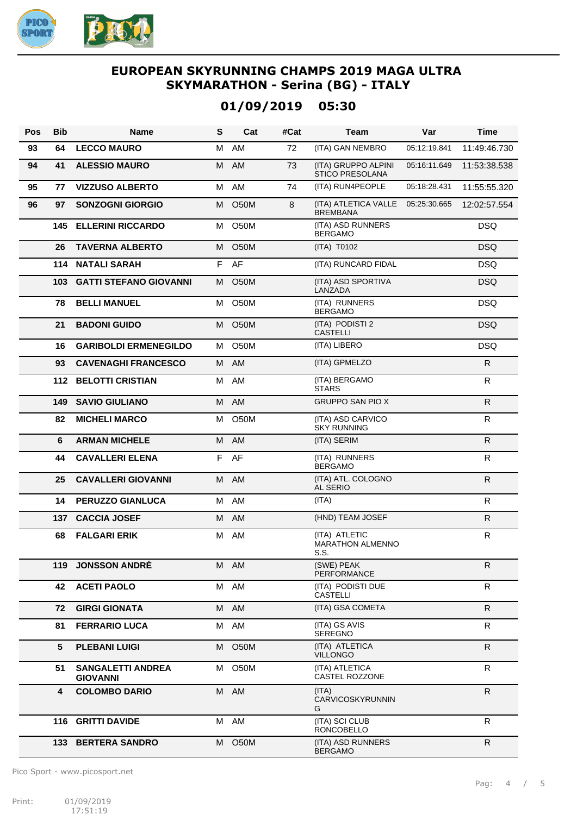

# **01/09/2019 05:30**

| Pos | <b>Bib</b> | <b>Name</b>                                 | S  | Cat               | #Cat | Team                                             | Var          | <b>Time</b>  |
|-----|------------|---------------------------------------------|----|-------------------|------|--------------------------------------------------|--------------|--------------|
| 93  | 64         | <b>LECCO MAURO</b>                          | М  | AM                | 72   | (ITA) GAN NEMBRO                                 | 05:12:19.841 | 11:49:46.730 |
| 94  | 41         | <b>ALESSIO MAURO</b>                        | M  | AM                | 73   | (ITA) GRUPPO ALPINI<br><b>STICO PRESOLANA</b>    | 05:16:11.649 | 11:53:38.538 |
| 95  | 77         | <b>VIZZUSO ALBERTO</b>                      | M  | AM                | 74   | (ITA) RUN4PEOPLE                                 | 05:18:28.431 | 11:55:55.320 |
| 96  | 97         | <b>SONZOGNI GIORGIO</b>                     | М  | <b>O50M</b>       | 8    | (ITA) ATLETICA VALLE<br><b>BREMBANA</b>          | 05:25:30.665 | 12:02:57.554 |
|     | 145        | <b>ELLERINI RICCARDO</b>                    | м  | O50M              |      | (ITA) ASD RUNNERS<br><b>BERGAMO</b>              |              | <b>DSQ</b>   |
|     | 26         | <b>TAVERNA ALBERTO</b>                      |    | M O50M            |      | (ITA) T0102                                      |              | <b>DSQ</b>   |
|     | 114        | <b>NATALI SARAH</b>                         | F. | AF                |      | (ITA) RUNCARD FIDAL                              |              | <b>DSQ</b>   |
|     | 103        | <b>GATTI STEFANO GIOVANNI</b>               | M  | <b>O50M</b>       |      | (ITA) ASD SPORTIVA<br>LANZADA                    |              | DSQ          |
|     | 78         | <b>BELLI MANUEL</b>                         |    | M O50M            |      | (ITA) RUNNERS<br><b>BERGAMO</b>                  |              | <b>DSQ</b>   |
|     | 21         | <b>BADONI GUIDO</b>                         | M  | O50M              |      | (ITA) PODISTI 2<br><b>CASTELLI</b>               |              | <b>DSQ</b>   |
|     | 16         | <b>GARIBOLDI ERMENEGILDO</b>                | М  | O <sub>5</sub> 0M |      | (ITA) LIBERO                                     |              | <b>DSQ</b>   |
|     | 93         | <b>CAVENAGHI FRANCESCO</b>                  |    | M AM              |      | (ITA) GPMELZO                                    |              | R.           |
|     |            | <b>112 BELOTTI CRISTIAN</b>                 | м  | AM                |      | (ITA) BERGAMO<br><b>STARS</b>                    |              | R.           |
|     | 149        | <b>SAVIO GIULIANO</b>                       |    | M AM              |      | <b>GRUPPO SAN PIO X</b>                          |              | R.           |
|     | 82         | <b>MICHELI MARCO</b>                        | М  | <b>O50M</b>       |      | (ITA) ASD CARVICO<br><b>SKY RUNNING</b>          |              | R            |
|     | 6          | <b>ARMAN MICHELE</b>                        |    | M AM              |      | (ITA) SERIM                                      |              | R            |
|     | 44         | <b>CAVALLERI ELENA</b>                      | F. | AF                |      | (ITA) RUNNERS<br><b>BERGAMO</b>                  |              | R            |
|     | 25         | <b>CAVALLERI GIOVANNI</b>                   |    | M AM              |      | (ITA) ATL. COLOGNO<br><b>AL SERIO</b>            |              | R.           |
|     | 14         | <b>PERUZZO GIANLUCA</b>                     |    | M AM              |      | (ITA)                                            |              | R            |
|     | 137        | <b>CACCIA JOSEF</b>                         | M  | AM                |      | (HND) TEAM JOSEF                                 |              | R.           |
|     | 68         | <b>FALGARI ERIK</b>                         |    | M AM              |      | (ITA) ATLETIC<br><b>MARATHON ALMENNO</b><br>S.S. |              | $\mathsf{R}$ |
|     | 119        | <b>JONSSON ANDRE</b>                        |    | M AM              |      | (SWE) PEAK<br><b>PERFORMANCE</b>                 |              | R            |
|     | 42         | <b>ACETI PAOLO</b>                          |    | M AM              |      | (ITA) PODISTI DUE<br><b>CASTELLI</b>             |              | R            |
|     | 72         | <b>GIRGI GIONATA</b>                        |    | M AM              |      | (ITA) GSA COMETA                                 |              | R.           |
|     | 81         | <b>FERRARIO LUCA</b>                        |    | M AM              |      | (ITA) GS AVIS<br><b>SEREGNO</b>                  |              | R.           |
|     | 5          | <b>PLEBANI LUIGI</b>                        |    | M O50M            |      | (ITA) ATLETICA<br><b>VILLONGO</b>                |              | R            |
|     | 51         | <b>SANGALETTI ANDREA</b><br><b>GIOVANNI</b> |    | M O50M            |      | (ITA) ATLETICA<br>CASTEL ROZZONE                 |              | R.           |
|     | 4          | <b>COLOMBO DARIO</b>                        |    | M AM              |      | (ITA)<br>CARVICOSKYRUNNIN<br>G                   |              | R            |
|     |            | 116 GRITTI DAVIDE                           |    | M AM              |      | (ITA) SCI CLUB<br><b>RONCOBELLO</b>              |              | R.           |
|     |            | <b>133 BERTERA SANDRO</b>                   |    | M O50M            |      | (ITA) ASD RUNNERS<br><b>BERGAMO</b>              |              | R.           |